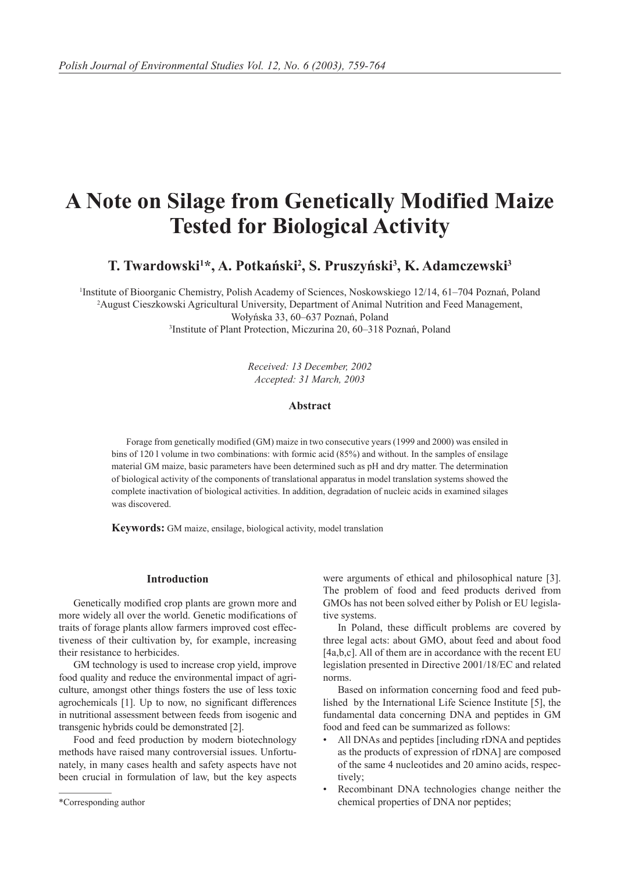# **A Note on Silage from Genetically Modified Maize Tested for Biological Activity**

T. Twardowski<sup>1\*</sup>, A. Potkański<sup>2</sup>, S. Pruszyński<sup>3</sup>, K. Adamczewski<sup>3</sup>

 Institute of Bioorganic Chemistry, Polish Academy of Sciences, Noskowskiego 12/14, 61–704 Poznań, Poland August Cieszkowski Agricultural University, Department of Animal Nutrition and Feed Management, Wołyńska 33, 60–637 Poznań, Poland Institute of Plant Protection, Miczurina 20, 60–318 Poznań, Poland

> *Received: 13 December, 2002 Accepted: 31 March, 2003*

#### **Abstract**

Forage from genetically modified (GM) maize in two consecutive years (1999 and 2000) was ensiled in bins of 120 l volume in two combinations: with formic acid (85%) and without. In the samples of ensilage material GM maize, basic parameters have been determined such as pH and dry matter. The determination of biological activity of the components of translational apparatus in model translation systems showed the complete inactivation of biological activities. In addition, degradation of nucleic acids in examined silages was discovered.

**Keywords:** GM maize, ensilage, biological activity, model translation

## **Introduction**

Genetically modified crop plants are grown more and more widely all over the world. Genetic modifications of traits of forage plants allow farmers improved cost effectiveness of their cultivation by, for example, increasing their resistance to herbicides.

GM technology is used to increase crop yield, improve food quality and reduce the environmental impact of agriculture, amongst other things fosters the use of less toxic agrochemicals [1]. Up to now, no significant differences in nutritional assessment between feeds from isogenic and transgenic hybrids could be demonstrated [2].

Food and feed production by modern biotechnology methods have raised many controversial issues. Unfortunately, in many cases health and safety aspects have not been crucial in formulation of law, but the key aspects were arguments of ethical and philosophical nature [3]. The problem of food and feed products derived from GMOs has not been solved either by Polish or EU legislative systems.

In Poland, these difficult problems are covered by three legal acts: about GMO, about feed and about food [4a,b,c]. All of them are in accordance with the recent EU legislation presented in Directive 2001/18/EC and related norms.

Based on information concerning food and feed published by the International Life Science Institute [5], the fundamental data concerning DNA and peptides in GM food and feed can be summarized as follows:

- All DNAs and peptides [including rDNA and peptides as the products of expression of rDNA] are composed of the same 4 nucleotides and 20 amino acids, respectively;
- Recombinant DNA technologies change neither the chemical properties of DNA nor peptides;

<sup>\*</sup>Corresponding author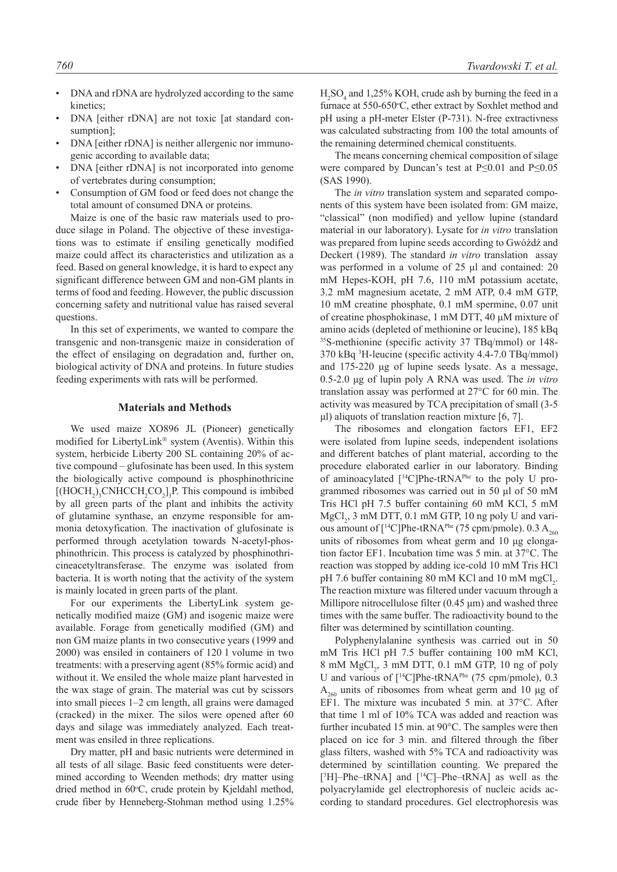- DNA and rDNA are hydrolyzed according to the same kinetics;
- DNA [either rDNA] are not toxic [at standard consumption];
- DNA [either rDNA] is neither allergenic nor immunogenic according to available data;
- DNA [either rDNA] is not incorporated into genome of vertebrates during consumption;
- Consumption of GM food or feed does not change the total amount of consumed DNA or proteins.

Maize is one of the basic raw materials used to produce silage in Poland. The objective of these investigations was to estimate if ensiling genetically modified maize could affect its characteristics and utilization as a feed. Based on general knowledge, it is hard to expect any significant difference between GM and non-GM plants in terms of food and feeding. However, the public discussion concerning safety and nutritional value has raised several questions.

In this set of experiments, we wanted to compare the transgenic and non-transgenic maize in consideration of the effect of ensilaging on degradation and, further on, biological activity of DNA and proteins. In future studies feeding experiments with rats will be performed.

## **Materials and Methods**

We used maize XO896 JL (Pioneer) genetically modified for LibertyLink® system (Aventis). Within this system, herbicide Liberty 200 SL containing 20% of active compound – glufosinate has been used. In this system the biologically active compound is phosphinothricine  $[(HOCH<sub>2</sub>)<sub>3</sub>CNHCCH<sub>2</sub>CO<sub>2</sub>]<sub>3</sub>P$ . This compound is imbibed by all green parts of the plant and inhibits the activity of glutamine synthase, an enzyme responsible for ammonia detoxyfication. The inactivation of glufosinate is performed through acetylation towards N-acetyl-phosphinothricin. This process is catalyzed by phosphinothricineacetyltransferase. The enzyme was isolated from bacteria. It is worth noting that the activity of the system is mainly located in green parts of the plant.

For our experiments the LibertyLink system genetically modified maize (GM) and isogenic maize were available. Forage from genetically modified (GM) and non GM maize plants in two consecutive years (1999 and 2000) was ensiled in containers of 120 l volume in two treatments: with a preserving agent (85% formic acid) and without it. We ensiled the whole maize plant harvested in the wax stage of grain. The material was cut by scissors into small pieces 1–2 cm length, all grains were damaged (cracked) in the mixer. The silos were opened after 60 days and silage was immediately analyzed. Each treatment was ensiled in three replications.

Dry matter, pH and basic nutrients were determined in all tests of all silage. Basic feed constituents were determined according to Weenden methods; dry matter using dried method in 60°C, crude protein by Kjeldahl method, crude fiber by Henneberg-Stohman method using 1.25%

 $H<sub>2</sub>SO<sub>4</sub>$  and 1,25% KOH, crude ash by burning the feed in a furnace at 550-650°C, ether extract by Soxhlet method and pH using a pH-meter Elster (P-731). N-free extractivness was calculated substracting from 100 the total amounts of the remaining determined chemical constituents.

The means concerning chemical composition of silage were compared by Duncan's test at P≤0.01 and P≤0.05 (SAS 1990).

The *in vitro* translation system and separated components of this system have been isolated from: GM maize, "classical" (non modified) and yellow lupine (standard material in our laboratory). Lysate for *in vitro* translation was prepared from lupine seeds according to Gwóźdź and Deckert (1989). The standard *in vitro* translation assay was performed in a volume of 25 μl and contained: 20 mM Hepes-KOH, pH 7.6, 110 mM potassium acetate, 3.2 mM magnesium acetate, 2 mM ATP, 0.4 mM GTP, 10 mM creatine phosphate, 0.1 mM spermine, 0.07 unit of creatine phosphokinase, 1 mM DTT, 40 μM mixture of amino acids (depleted of methionine or leucine), 185 kBq 35S-methionine (specific activity 37 TBq/mmol) or 148- 370 kBq 3 H-leucine (specific activity 4.4-7.0 TBq/mmol) and 175-220 μg of lupine seeds lysate. As a message, 0.5-2.0 μg of lupin poly A RNA was used. The *in vitro* translation assay was performed at 27°C for 60 min. The activity was measured by TCA precipitation of small (3-5 μl) aliquots of translation reaction mixture [6, 7].

The ribosomes and elongation factors EF1, EF2 were isolated from lupine seeds, independent isolations and different batches of plant material, according to the procedure elaborated earlier in our laboratory. Binding of aminoacylated  $[$ <sup>14</sup>C]Phe-tRNA<sup>Phe</sup> to the poly U programmed ribosomes was carried out in 50 μl of 50 mM Tris HCl pH 7.5 buffer containing 60 mM KCl, 5 mM  $MgCl<sub>2</sub>$ , 3 mM DTT, 0.1 mM GTP, 10 ng poly U and various amount of  $[^{14}C]$ Phe-tRNA<sup>Phe</sup> (75 cpm/pmole). 0.3 A<sub>260</sub> units of ribosomes from wheat germ and 10 μg elongation factor EF1. Incubation time was 5 min. at 37°C. The reaction was stopped by adding ice-cold 10 mM Tris HCl pH 7.6 buffer containing 80 mM KCl and 10 mM mgCl<sub>2</sub>. The reaction mixture was filtered under vacuum through a Millipore nitrocellulose filter  $(0.45 \mu m)$  and washed three times with the same buffer. The radioactivity bound to the filter was determined by scintillation counting.

Polyphenylalanine synthesis was carried out in 50 mM Tris HCl pH 7.5 buffer containing 100 mM KCl, 8 mM MgCl<sub>2</sub>, 3 mM DTT, 0.1 mM GTP, 10 ng of poly U and various of [<sup>14</sup>C]Phe-tRNA<sup>Phe</sup> (75 cpm/pmole), 0.3  $A_{260}$  units of ribosomes from wheat germ and 10 μg of EF1. The mixture was incubated 5 min. at 37°C. After that time 1 ml of 10% TCA was added and reaction was further incubated 15 min. at 90°C. The samples were then placed on ice for 3 min. and filtered through the fiber glass filters, washed with 5% TCA and radioactivity was determined by scintillation counting. We prepared the  $[$ <sup>3</sup>H]–Phe–tRNA] and  $[$ <sup>14</sup>C]–Phe–tRNA] as well as the polyacrylamide gel electrophoresis of nucleic acids according to standard procedures. Gel electrophoresis was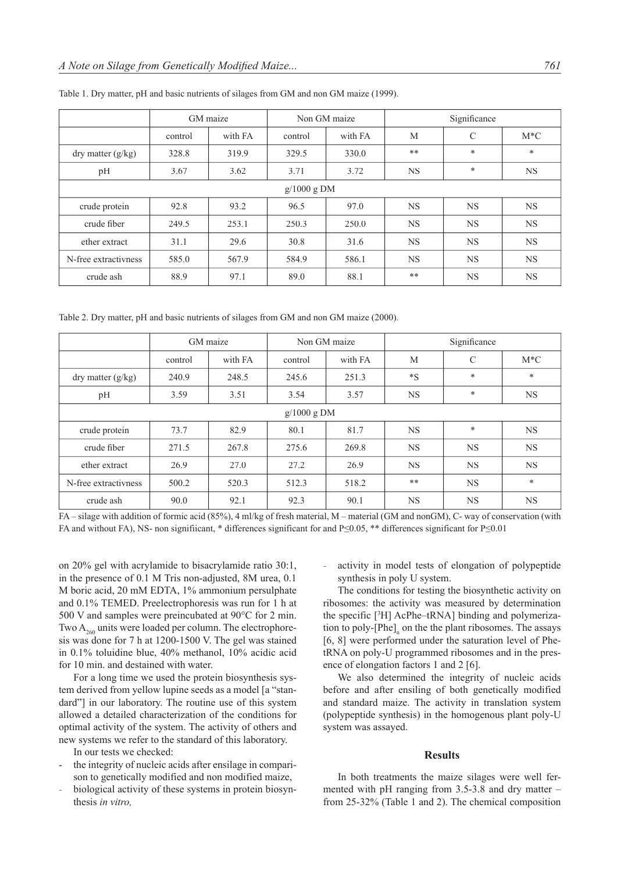|                      | GM maize |         | Non GM maize |         | Significance |           |           |
|----------------------|----------|---------|--------------|---------|--------------|-----------|-----------|
|                      | control  | with FA | control      | with FA | M            | C         | $M^*C$    |
| dry matter $(g/kg)$  | 328.8    | 319.9   | 329.5        | 330.0   | $***$        | $\ast$    | $\ast$    |
| pH                   | 3.67     | 3.62    | 3.71         | 3.72    | <b>NS</b>    | $\ast$    | <b>NS</b> |
| $g/1000$ g DM        |          |         |              |         |              |           |           |
| crude protein        | 92.8     | 93.2    | 96.5         | 97.0    | <b>NS</b>    | <b>NS</b> | <b>NS</b> |
| crude fiber          | 249.5    | 253.1   | 250.3        | 250.0   | <b>NS</b>    | <b>NS</b> | <b>NS</b> |
| ether extract        | 31.1     | 29.6    | 30.8         | 31.6    | <b>NS</b>    | <b>NS</b> | <b>NS</b> |
| N-free extractivness | 585.0    | 567.9   | 584.9        | 586.1   | <b>NS</b>    | <b>NS</b> | <b>NS</b> |
| crude ash            | 88.9     | 97.1    | 89.0         | 88.1    | $***$        | <b>NS</b> | <b>NS</b> |

Table 1. Dry matter, pH and basic nutrients of silages from GM and non GM maize (1999).

Table 2. Dry matter, pH and basic nutrients of silages from GM and non GM maize (2000).

|                      | GM maize |         | Non GM maize |         | Significance |               |           |
|----------------------|----------|---------|--------------|---------|--------------|---------------|-----------|
|                      | control  | with FA | control      | with FA | M            | $\mathcal{C}$ | $M*C$     |
| dry matter $(g/kg)$  | 240.9    | 248.5   | 245.6        | 251.3   | $*_{S}$      | $\ast$        | $\ast$    |
| pH                   | 3.59     | 3.51    | 3.54         | 3.57    | <b>NS</b>    | $\ast$        | <b>NS</b> |
| $g/1000$ g DM        |          |         |              |         |              |               |           |
| crude protein        | 73.7     | 82.9    | 80.1         | 81.7    | <b>NS</b>    | $\ast$        | <b>NS</b> |
| crude fiber          | 271.5    | 267.8   | 275.6        | 269.8   | <b>NS</b>    | <b>NS</b>     | <b>NS</b> |
| ether extract        | 26.9     | 27.0    | 27.2         | 26.9    | <b>NS</b>    | <b>NS</b>     | <b>NS</b> |
| N-free extractivness | 500.2    | 520.3   | 512.3        | 518.2   | $***$        | <b>NS</b>     | $\ast$    |
| crude ash            | 90.0     | 92.1    | 92.3         | 90.1    | <b>NS</b>    | <b>NS</b>     | <b>NS</b> |

FA – silage with addition of formic acid (85%), 4 ml/kg of fresh material, M – material (GM and nonGM), C- way of conservation (with FA and without FA), NS- non signifiicant, \* differences significant for and P≤0.05, \*\* differences significant for P≤0.01

on 20% gel with acrylamide to bisacrylamide ratio 30:1, in the presence of 0.1 M Tris non-adjusted, 8M urea, 0.1 M boric acid, 20 mM EDTA, 1% ammonium persulphate and 0.1% TEMED. Preelectrophoresis was run for 1 h at 500 V and samples were preincubated at 90°C for 2 min. Two  $A_{\infty}$  units were loaded per column. The electrophoresis was done for 7 h at 1200-1500 V. The gel was stained in 0.1% toluidine blue, 40% methanol, 10% acidic acid for 10 min. and destained with water.

For a long time we used the protein biosynthesis system derived from yellow lupine seeds as a model [a "standard"] in our laboratory. The routine use of this system allowed a detailed characterization of the conditions for optimal activity of the system. The activity of others and new systems we refer to the standard of this laboratory.

In our tests we checked:

- the integrity of nucleic acids after ensilage in comparison to genetically modified and non modified maize,
- biological activity of these systems in protein biosynthesis *in vitro,*

activity in model tests of elongation of polypeptide synthesis in poly U system.

The conditions for testing the biosynthetic activity on ribosomes: the activity was measured by determination the specific [3 H] AcPhe–tRNA] binding and polymerization to poly- $[Phe]_n$  on the the plant ribosomes. The assays [6, 8] were performed under the saturation level of PhetRNA on poly-U programmed ribosomes and in the presence of elongation factors 1 and 2 [6].

We also determined the integrity of nucleic acids before and after ensiling of both genetically modified and standard maize. The activity in translation system (polypeptide synthesis) in the homogenous plant poly-U system was assayed.

## **Results**

In both treatments the maize silages were well fermented with pH ranging from 3.5-3.8 and dry matter – from 25-32% (Table 1 and 2). The chemical composition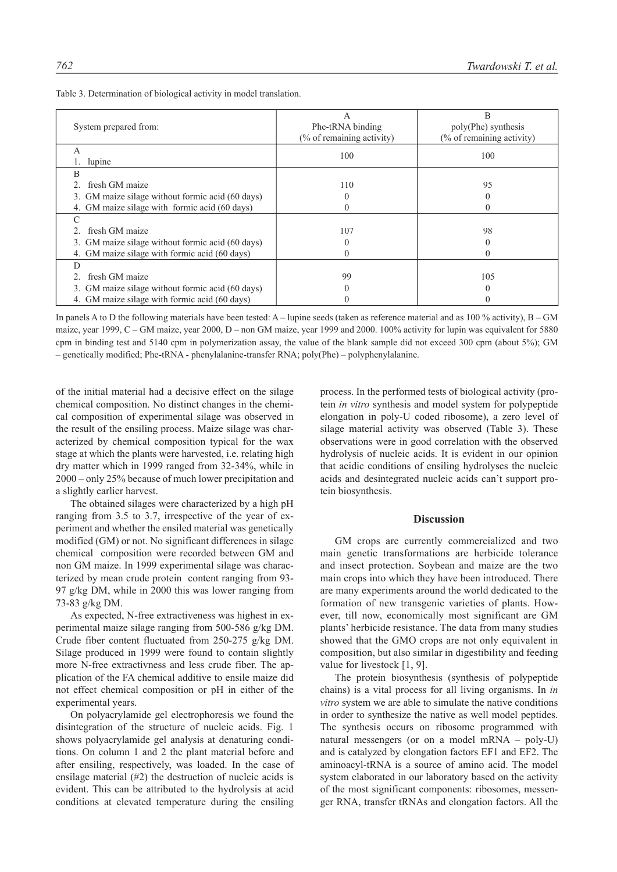| System prepared from:                            | А<br>Phe-tRNA binding                | В<br>poly(Phe) synthesis             |  |
|--------------------------------------------------|--------------------------------------|--------------------------------------|--|
|                                                  | $\frac{9}{6}$ of remaining activity) | $\frac{6}{6}$ of remaining activity) |  |
| A                                                | 100                                  | 100                                  |  |
| lupine                                           |                                      |                                      |  |
| B                                                |                                      |                                      |  |
| fresh GM maize                                   | 110                                  | 95                                   |  |
| 3. GM maize silage without formic acid (60 days) |                                      |                                      |  |
| 4. GM maize silage with formic acid (60 days)    |                                      |                                      |  |
| C                                                |                                      |                                      |  |
| fresh GM maize                                   | 107                                  | 98                                   |  |
| 3. GM maize silage without formic acid (60 days) |                                      |                                      |  |
| 4. GM maize silage with formic acid (60 days)    |                                      |                                      |  |
| D                                                |                                      |                                      |  |
| fresh GM maize                                   | 99                                   | 105                                  |  |
| 3. GM maize silage without formic acid (60 days) |                                      |                                      |  |
| 4. GM maize silage with formic acid (60 days)    |                                      |                                      |  |

Table 3. Determination of biological activity in model translation.

In panels A to D the following materials have been tested: A – lupine seeds (taken as reference material and as 100 % activity), B – GM maize, year 1999, C – GM maize, year 2000, D – non GM maize, year 1999 and 2000. 100% activity for lupin was equivalent for 5880 cpm in binding test and 5140 cpm in polymerization assay, the value of the blank sample did not exceed 300 cpm (about 5%); GM – genetically modified; Phe-tRNA - phenylalanine-transfer RNA; poly(Phe) – polyphenylalanine.

of the initial material had a decisive effect on the silage chemical composition. No distinct changes in the chemical composition of experimental silage was observed in the result of the ensiling process. Maize silage was characterized by chemical composition typical for the wax stage at which the plants were harvested, i.e. relating high dry matter which in 1999 ranged from 32-34%, while in 2000 – only 25% because of much lower precipitation and a slightly earlier harvest.

The obtained silages were characterized by a high pH ranging from 3.5 to 3.7, irrespective of the year of experiment and whether the ensiled material was genetically modified (GM) or not. No significant differences in silage chemical composition were recorded between GM and non GM maize. In 1999 experimental silage was characterized by mean crude protein content ranging from 93- 97 g/kg DM, while in 2000 this was lower ranging from 73-83 g/kg DM.

As expected, N-free extractiveness was highest in experimental maize silage ranging from 500-586 g/kg DM. Crude fiber content fluctuated from 250-275 g/kg DM. Silage produced in 1999 were found to contain slightly more N-free extractivness and less crude fiber. The application of the FA chemical additive to ensile maize did not effect chemical composition or pH in either of the experimental years.

On polyacrylamide gel electrophoresis we found the disintegration of the structure of nucleic acids. Fig. 1 shows polyacrylamide gel analysis at denaturing conditions. On column 1 and 2 the plant material before and after ensiling, respectively, was loaded. In the case of ensilage material (#2) the destruction of nucleic acids is evident. This can be attributed to the hydrolysis at acid conditions at elevated temperature during the ensiling

process. In the performed tests of biological activity (protein *in vitro* synthesis and model system for polypeptide elongation in poly-U coded ribosome), a zero level of silage material activity was observed (Table 3). These observations were in good correlation with the observed hydrolysis of nucleic acids. It is evident in our opinion that acidic conditions of ensiling hydrolyses the nucleic acids and desintegrated nucleic acids can't support protein biosynthesis.

### **Discussion**

GM crops are currently commercialized and two main genetic transformations are herbicide tolerance and insect protection. Soybean and maize are the two main crops into which they have been introduced. There are many experiments around the world dedicated to the formation of new transgenic varieties of plants. However, till now, economically most significant are GM plants' herbicide resistance. The data from many studies showed that the GMO crops are not only equivalent in composition, but also similar in digestibility and feeding value for livestock [1, 9].

The protein biosynthesis (synthesis of polypeptide chains) is a vital process for all living organisms. In *in vitro* system we are able to simulate the native conditions in order to synthesize the native as well model peptides. The synthesis occurs on ribosome programmed with natural messengers (or on a model mRNA – poly-U) and is catalyzed by elongation factors EF1 and EF2. The aminoacyl-tRNA is a source of amino acid. The model system elaborated in our laboratory based on the activity of the most significant components: ribosomes, messenger RNA, transfer tRNAs and elongation factors. All the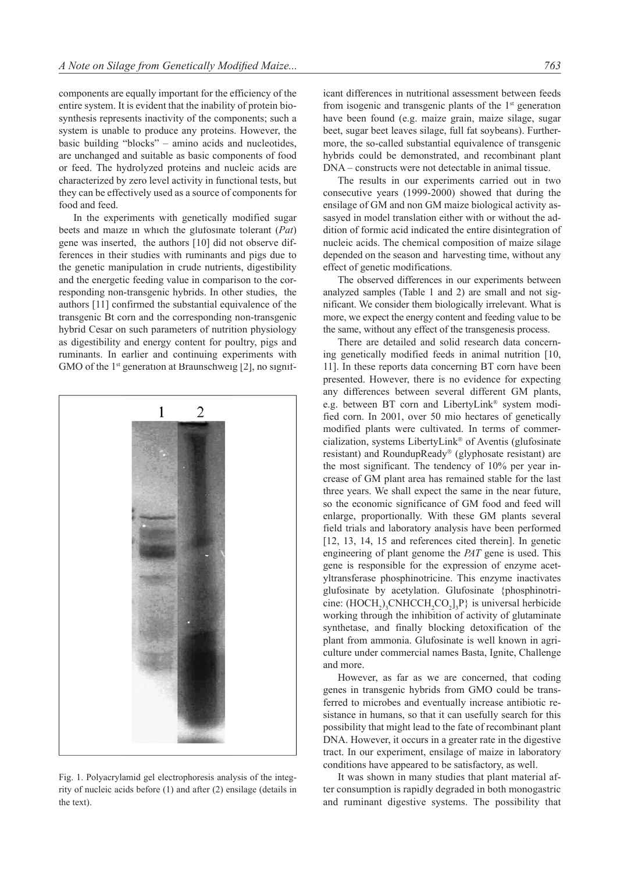components are equally important for the efficiency of the entire system. It is evident that the inability of protein biosynthesis represents inactivity of the components; such a system is unable to produce any proteins. However, the basic building "blocks" – amino acids and nucleotides, are unchanged and suitable as basic components of food or feed. The hydrolyzed proteins and nucleic acids are characterized by zero level activity in functional tests, but they can be effectively used as a source of components for food and feed.

In the experiments with genetically modified sugar beets and maize in which the glufosinate tolerant (*Pat*) gene was inserted, the authors [10] did not observe differences in their studies with ruminants and pigs due to the genetic manipulation in crude nutrients, digestibility and the energetic feeding value in comparison to the corresponding non-transgenic hybrids. In other studies, the authors [11] confirmed the substantial equivalence of the transgenic Bt corn and the corresponding non-transgenic hybrid Cesar on such parameters of nutrition physiology as digestibility and energy content for poultry, pigs and ruminants. In earlier and continuing experiments with GMO of the  $1<sup>st</sup>$  generation at Braunschweig [2], no signif-



Fig. 1. Polyacrylamid gel electrophoresis analysis of the integrity of nucleic acids before (1) and after (2) ensilage (details in the text).

icant differences in nutritional assessment between feeds from isogenic and transgenic plants of the 1<sup>st</sup> generation have been found (e.g. maize grain, maize silage, sugar beet, sugar beet leaves silage, full fat soybeans). Furthermore, the so-called substantial equivalence of transgenic hybrids could be demonstrated, and recombinant plant DNA – constructs were not detectable in animal tissue.

The results in our experiments carried out in two consecutive years (1999-2000) showed that during the ensilage of GM and non GM maize biological activity assasyed in model translation either with or without the addition of formic acid indicated the entire disintegration of nucleic acids. The chemical composition of maize silage depended on the season and harvesting time, without any effect of genetic modifications.

The observed differences in our experiments between analyzed samples (Table 1 and 2) are small and not significant. We consider them biologically irrelevant. What is more, we expect the energy content and feeding value to be the same, without any effect of the transgenesis process.

There are detailed and solid research data concerning genetically modified feeds in animal nutrition [10, 11]. In these reports data concerning BT corn have been presented. However, there is no evidence for expecting any differences between several different GM plants, e.g. between BT corn and LibertyLink® system modified corn. In 2001, over 50 mio hectares of genetically modified plants were cultivated. In terms of commercialization, systems LibertyLink<sup>®</sup> of Aventis (glufosinate resistant) and RoundupReady<sup>®</sup> (glyphosate resistant) are the most significant. The tendency of 10% per year increase of GM plant area has remained stable for the last three years. We shall expect the same in the near future, so the economic significance of GM food and feed will enlarge, proportionally. With these GM plants several field trials and laboratory analysis have been performed [12, 13, 14, 15 and references cited therein]. In genetic engineering of plant genome the *PAT* gene is used. This gene is responsible for the expression of enzyme acetyltransferase phosphinotricine. This enzyme inactivates glufosinate by acetylation. Glufosinate {phosphinotricine:  $(HOCH<sub>2</sub>)$ <sub>3</sub>CNHCCH<sub>2</sub>CO<sub>2</sub>]<sub>3</sub>P} is universal herbicide working through the inhibition of activity of glutaminate synthetase, and finally blocking detoxification of the plant from ammonia. Glufosinate is well known in agriculture under commercial names Basta, Ignite, Challenge and more.

However, as far as we are concerned, that coding genes in transgenic hybrids from GMO could be transferred to microbes and eventually increase antibiotic resistance in humans, so that it can usefully search for this possibility that might lead to the fate of recombinant plant DNA. However, it occurs in a greater rate in the digestive tract. In our experiment, ensilage of maize in laboratory conditions have appeared to be satisfactory, as well.

It was shown in many studies that plant material after consumption is rapidly degraded in both monogastric and ruminant digestive systems. The possibility that